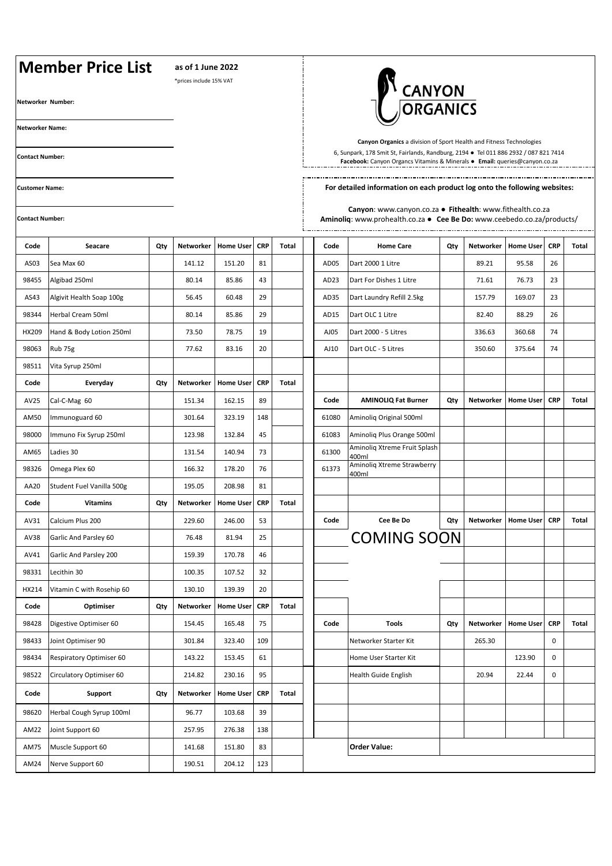## **Member Price List as of 1 June 2022** \*prices include 15% VAT CANYON **Networker Number: Networker Name: Canyon Organics** a division of Sport Health and Fitness Technologies 6, Sunpark, 178 Smit St, Fairlands, Randburg, 2194 ● Tel 011 886 2932 / 087 821 7414 **Contact Number: Facebook:** Canyon Organcs Vitamins & Minerals ● **Email:** queries@canyon.co.za**For detailed information on each product log onto the following websites: Customer Name: Canyon**: www.canyon.co.za ● **Fithealth**: www.fithealth.co.za **Contact Number: Aminoliq**: www.prohealth.co.za ● **Cee Be Do:** www.ceebedo.co.za/products/ **Code Seacare Qty Networker Home User CRP Total Code Home Care Qty Networker Home User CRP Total** AS03 Sea Max 60 141.12 151.20 81 AD05 Dart 2000 1 Litre 89.21 95.58 26 98455 Algibad 250ml 80.14 85.86 43 AD23 Dart For Dishes 1 Litre 71.61 76.73 23 AS43 Algivit Health Soap 100g | 56.45 | 60.48 29 | | AD35 Dart Laundry Refill 2.5kg | 157.79 | 169.07 | 23 98344 |Herbal Cream 50ml | | 80.14 | 85.86 | 29 | | | AD15 |Dart OLC 1 Litre | | 82.40 | 88.29 | 26 HX209 Hand & Body Lotion 250ml 73.50 73.50 78.75 19 AJ05 Dart 2000 - 5 Litres 336.63 360.68 74 98063 |Rub 75g | | 77.62 | 83.16 | 20 | | | AJ10 |Dart OLC - 5 Litres | | 350.60 | 375.64 | 74 98511 Vita Syrup 250ml **Code Everyday Qty Networker Home User CRP Total** AV25 Cal-C-Mag 60 151.34 162.15 89 **Code AMINOLIQ Fat Burner Qty Networker Home User CRP Total** AM50 | Immunoguard 60 | | | 301.64 | 323.19 | 148 | | | 61080 | Aminoliq Original 500ml 98000 Immuno Fix Syrup 250ml 123.98 132.84 45 61083 Aminoliq Plus Orange 500ml AM65 Ladies 30 131.54 140.94 73 61300 Aminoliq Xtreme Fruit Splash 400ml 98326 Omega Plex 60 166.32 178.20 76 61373 Aminoliq Xtreme Strawberry 400ml AA20 Student Fuel Vanilla 500g | 195.05 208.98 81 **Code Vitamins Qty Networker Home User CRP Total** AV31 Calcium Plus 200 229.60 246.00 53 **Code Cee Be Do Qty Networker Home User CRP Total** AV38 Garlic And Parsley 60 | 76.48 81.94 25 | | COMING SOON AV41 Garlic And Parsley 200 159.39 170.78 46 98331 Lecithin 30 100.35 107.52 32 HX214 Vitamin C with Rosehip 60 | 130.10 139.39 20 **Code Optimiser Qty Networker Home User CRP Total** 98428 Digestive Optimiser 60 154.45 165.48 75 **Code Tools Qty Networker Home User CRP Total** 98433 Joint Optimiser 90 301.84 323.40 109 Networker Starter Kit 265.30 0 98434 Respiratory Optimiser 60 | 143.22 153.45 61 | Home User Starter Kit | 123.90 0 98522 Circulatory Optimiser 60 214.82 230.16 95 Health Guide English 20.94 22.44 0 **Code Support Qty Networker Home User CRP Total** 98620 Herbal Cough Syrup 100ml | 96.77 | 103.68 39 AM22 Joint Support 60 257.95 276.38 138 AM75 Muscle Support 60 141.68 151.80 83 **Order Value:** AM24 Nerve Support 60 190.51 204.12 123